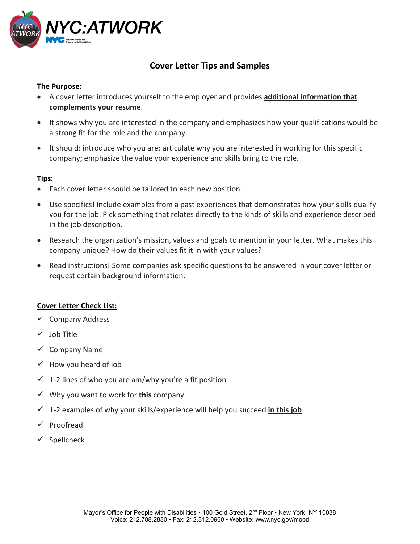

# **Cover Letter Tips and Samples**

### **The Purpose:**

- A cover letter introduces yourself to the employer and provides **additional information that complements your resume**.
- It shows why you are interested in the company and emphasizes how your qualifications would be a strong fit for the role and the company.
- It should: introduce who you are; articulate why you are interested in working for this specific company; emphasize the value your experience and skills bring to the role.

### **Tips:**

- Each cover letter should be tailored to each new position.
- Use specifics! Include examples from a past experiences that demonstrates how your skills qualify you for the job. Pick something that relates directly to the kinds of skills and experience described in the job description.
- Research the organization's mission, values and goals to mention in your letter. What makes this company unique? How do their values fit it in with your values?
- Read instructions! Some companies ask specific questions to be answered in your cover letter or request certain background information.

### **Cover Letter Check List:**

- $\checkmark$  Company Address
- $\checkmark$  Iob Title
- $\checkmark$  Company Name
- $\checkmark$  How you heard of job
- $\checkmark$  1-2 lines of who you are am/why you're a fit position
- Why you want to work for **this** company
- 1-2 examples of why your skills/experience will help you succeed **in this job**
- $\checkmark$  Proofread
- $\checkmark$  Spellcheck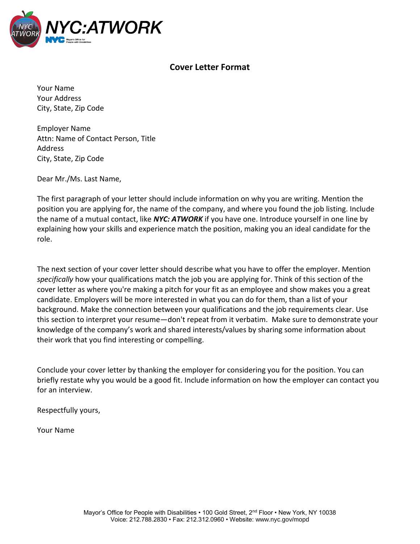

## **Cover Letter Format**

Your Name Your Address City, State, Zip Code

Employer Name Attn: Name of Contact Person, Title Address City, State, Zip Code

Dear Mr./Ms. Last Name,

The first paragraph of your letter should include information on why you are writing. Mention the position you are applying for, the name of the company, and where you found the job listing. Include the name of a mutual contact, like *NYC: ATWORK* if you have one. Introduce yourself in one line by explaining how your skills and experience match the position, making you an ideal candidate for the role.

The next section of your cover letter should describe what you have to offer the employer. Mention *specifically* how your qualifications match the job you are applying for. Think of this section of the cover letter as where you're making a pitch for your fit as an employee and show makes you a great candidate. Employers will be more interested in what you can do for them, than a list of your background. Make the connection between your qualifications and the job requirements clear. Use this section to interpret your resume—don't repeat from it verbatim. Make sure to demonstrate your knowledge of the company's work and shared interests/values by sharing some information about their work that you find interesting or compelling.

Conclude your cover letter by thanking the employer for considering you for the position. You can briefly restate why you would be a good fit. Include information on how the employer can contact you for an interview.

Respectfully yours,

Your Name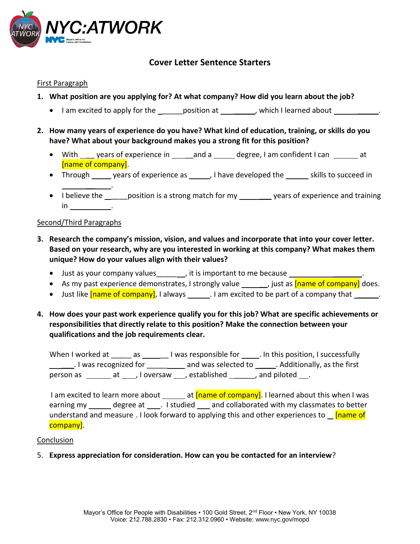

## **Cover Letter Sentence Starters**

#### First Paragraph

- **1. What position are you applying for? At what company? How did you learn about the job?**
	- I am excited to apply for the \_\_\_\_\_\_ position at \_\_\_\_\_\_\_\_, which I learned about \_\_\_\_\_\_\_\_\_\_.
- **2. How many years of experience do you have? What kind of education, training, or skills do you have? What about your background makes you a strong fit for this position?**
	- With \_\_\_\_ years of experience in \_\_\_\_\_and a \_\_\_\_\_ degree, I am confident I can \_\_\_\_\_\_ at [name of company].
	- Through sears of experience as sealing and the section skills to succeed in  $\overline{\phantom{a}}$  .
	- I believe the gosition is a strong match for my governs of experience and training in .

#### Second/Third Paragraphs

- **3. Research the company's mission, vision, and values and incorporate that into your cover letter. Based on your research, why are you interested in working at this company? What makes them unique? How do your values align with their values?**
	- Just as your company values \_\_\_\_\_ , it is important to me because \_\_\_\_\_\_\_\_\_\_\_
	- As my past experience demonstrates, I strongly value , just as  $[name of company]$  does.
	- Just like **[name of company]**, I always . I am excited to be part of a company that  $\qquad$ .
- **4. How does your past work experience qualify you for this job? What are specific achievements or responsibilities that directly relate to this position? Make the connection between your qualifications and the job requirements clear.**

When I worked at \_\_\_\_\_ as \_\_\_\_\_\_ I was responsible for \_\_\_\_\_. In this position, I successfully Let I was recognized for **Let Allie 2 and was selected to Let Additionally**, as the first person as \_\_\_\_\_\_\_\_ at \_\_\_\_\_, I oversaw \_\_\_\_, established \_\_\_\_\_\_\_\_, and piloted \_\_\_.

I am excited to learn more about \_\_\_\_\_\_ at  $[name of company]$ . I learned about this when I was earning my degree at . I studied and collaborated with my classmates to better understand and measure . I look forward to applying this and other experiences to  $\blacksquare$  [name of company].

#### Conclusion

5. **Express appreciation for consideration. How can you be contacted for an interview**?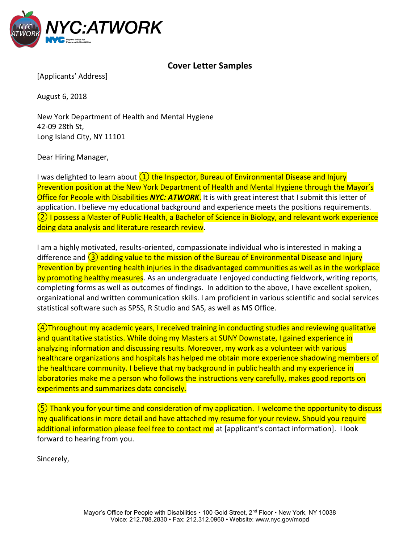

## **Cover Letter Samples**

[Applicants' Address]

August 6, 2018

New York Department of Health and Mental Hygiene 42-09 28th St, Long Island City, NY 11101

Dear Hiring Manager,

I was delighted to learn about  $(1)$  the Inspector, Bureau of Environmental Disease and Injury Prevention position at the New York Department of Health and Mental Hygiene through the Mayor's Office for People with Disabilities *NYC: ATWORK*. It is with great interest that I submit this letter of application. I believe my educational background and experience meets the positions requirements. ② I possess a Master of Public Health, a Bachelor of Science in Biology, and relevant work experience doing data analysis and literature research review.

I am a highly motivated, results-oriented, compassionate individual who is interested in making a difference and  $\overline{(3)}$  adding value to the mission of the Bureau of Environmental Disease and Injury Prevention by preventing health injuries in the disadvantaged communities as well as in the workplace by promoting healthy measures. As an undergraduate I enjoyed conducting fieldwork, writing reports, completing forms as well as outcomes of findings. In addition to the above, I have excellent spoken, organizational and written communication skills. I am proficient in various scientific and social services statistical software such as SPSS, R Studio and SAS, as well as MS Office.

 $(4)$ Throughout my academic years, I received training in conducting studies and reviewing qualitative and quantitative statistics. While doing my Masters at SUNY Downstate, I gained experience in analyzing information and discussing results. Moreover, my work as a volunteer with various healthcare organizations and hospitals has helped me obtain more experience shadowing members of the healthcare community. I believe that my background in public health and my experience in laboratories make me a person who follows the instructions very carefully, makes good reports on experiments and summarizes data concisely.

⑤ Thank you for your time and consideration of my application. I welcome the opportunity to discuss my qualifications in more detail and have attached my resume for your review. Should you require additional information please feel free to contact me at [applicant's contact information]. I look forward to hearing from you.

Sincerely,